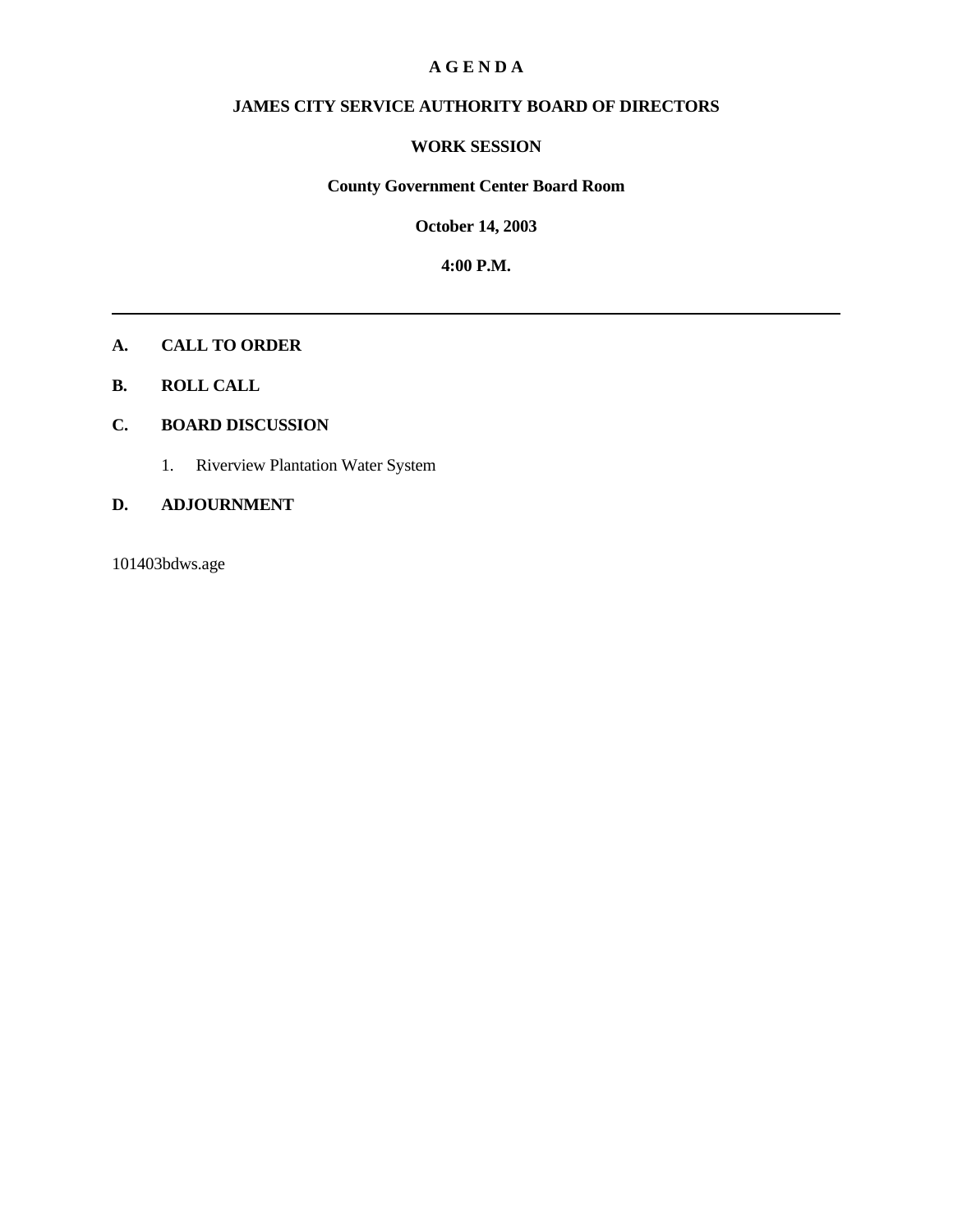### **A G E N D A**

# **JAMES CITY SERVICE AUTHORITY BOARD OF DIRECTORS**

### **WORK SESSION**

# **County Government Center Board Room**

**October 14, 2003**

**4:00 P.M.**

## **A. CALL TO ORDER**

**B. ROLL CALL**

## **C. BOARD DISCUSSION**

1. Riverview Plantation Water System

### **D. ADJOURNMENT**

101403bdws.age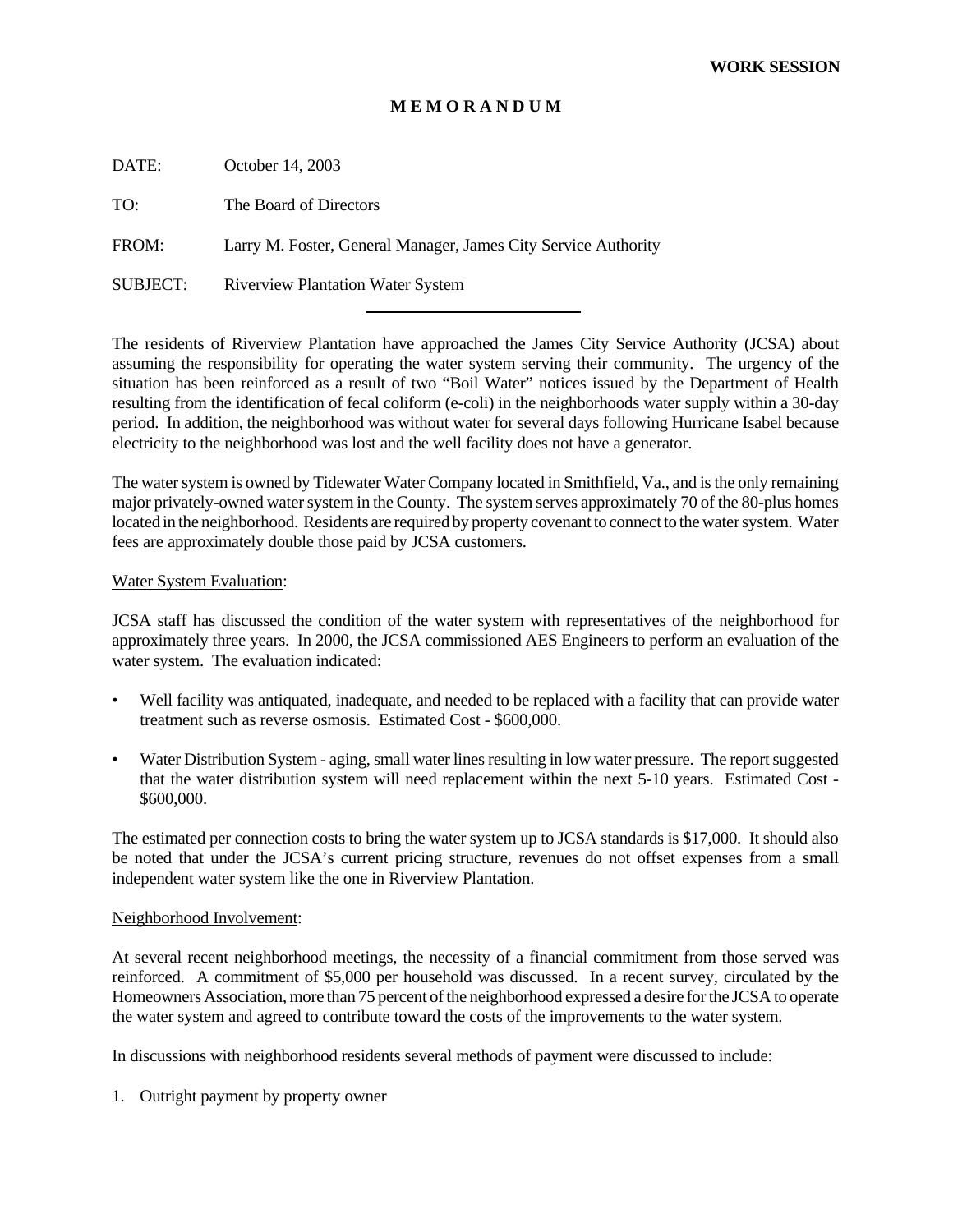## **M E M O R A N D U M**

DATE: October 14, 2003

TO: The Board of Directors

FROM: Larry M. Foster, General Manager, James City Service Authority

l

SUBJECT: Riverview Plantation Water System

The residents of Riverview Plantation have approached the James City Service Authority (JCSA) about assuming the responsibility for operating the water system serving their community. The urgency of the situation has been reinforced as a result of two "Boil Water" notices issued by the Department of Health resulting from the identification of fecal coliform (e-coli) in the neighborhoods water supply within a 30-day period. In addition, the neighborhood was without water for several days following Hurricane Isabel because electricity to the neighborhood was lost and the well facility does not have a generator.

The water system is owned by Tidewater Water Company located in Smithfield, Va., and is the only remaining major privately-owned water system in the County. The system serves approximately 70 of the 80-plus homes located in the neighborhood. Residents are required by property covenant to connect to the water system. Water fees are approximately double those paid by JCSA customers.

#### Water System Evaluation:

JCSA staff has discussed the condition of the water system with representatives of the neighborhood for approximately three years. In 2000, the JCSA commissioned AES Engineers to perform an evaluation of the water system. The evaluation indicated:

- Well facility was antiquated, inadequate, and needed to be replaced with a facility that can provide water treatment such as reverse osmosis. Estimated Cost - \$600,000.
- Water Distribution System aging, small water lines resulting in low water pressure. The report suggested that the water distribution system will need replacement within the next 5-10 years. Estimated Cost - \$600,000.

The estimated per connection costs to bring the water system up to JCSA standards is \$17,000. It should also be noted that under the JCSA's current pricing structure, revenues do not offset expenses from a small independent water system like the one in Riverview Plantation.

#### Neighborhood Involvement:

At several recent neighborhood meetings, the necessity of a financial commitment from those served was reinforced. A commitment of \$5,000 per household was discussed. In a recent survey, circulated by the Homeowners Association, more than 75 percent of the neighborhood expressed a desire for the JCSA to operate the water system and agreed to contribute toward the costs of the improvements to the water system.

In discussions with neighborhood residents several methods of payment were discussed to include:

1. Outright payment by property owner